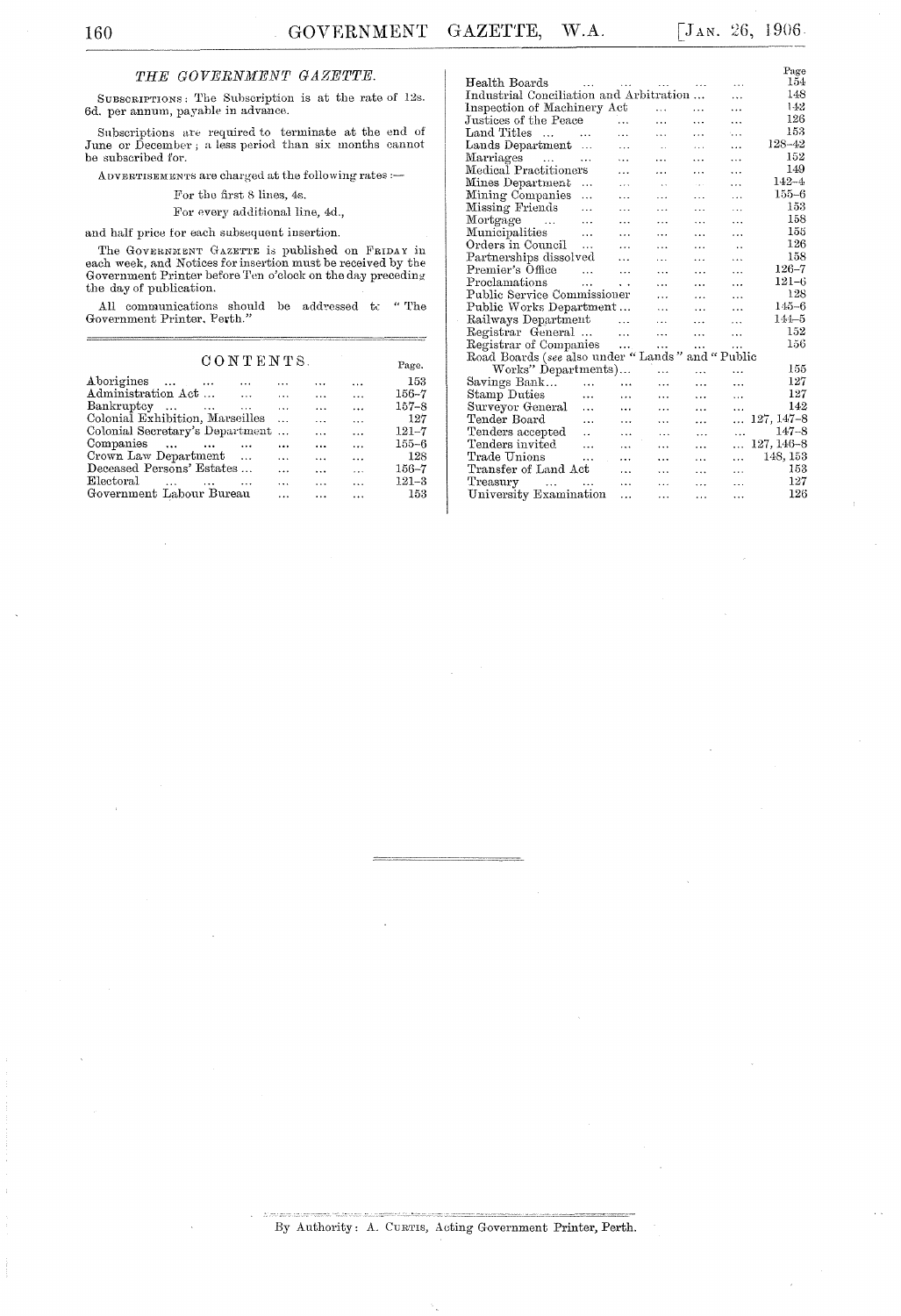### THE GOVERNMENT GAZETTE.

SUBSCRIPTIONS: The Subscription is at the rate of 12s. 6d. per annum, payable in advance.

Subscriptions are required to terminate at the end of June or December ; a less period than six months cannot be subscribed for.

ADVERTISEMENTS are charged at the following rates :-

For the first 8 lines, 4s.  $\,$ 

For every additional line, 4d.,

and half price for each subsequent insertion.

The GOVERNMENT GAZETTE is published on FRIDAY in each week, and Notices for insertion must be received by the Government Printer before Ten o'clock on the day preceding the day of publication.

All communications should be addressed to "The Government Printer, Perth."  $\hspace{0.1mm}$ 

#### CONTENTS.

| CONTENTS.                         |  |          |           |           |           |  |  |
|-----------------------------------|--|----------|-----------|-----------|-----------|--|--|
| Aborigines<br>$\cdots$            |  |          |           | $\cdots$  | 153       |  |  |
| Administration Act<br>$\cdots$    |  |          | $\cdots$  | $\ddotsc$ | $156 - 7$ |  |  |
| Bankruptcy                        |  | $\cdots$ | $\cdots$  | $\cdots$  | $157 - 8$ |  |  |
| Colonial Exhibition, Marseilles   |  |          | $\ddotsc$ | $\ddotsc$ | 127       |  |  |
| Colonial Secretary's Department   |  |          | $\ddotsc$ | $\ddotsc$ | $121 - 7$ |  |  |
| Companies<br>$\sim$ $\sim$ $\sim$ |  | $\cdots$ | $\cdots$  | $\cdots$  | $155 - 6$ |  |  |
| Crown Law Department              |  | $\cdots$ | .         | $\ddotsc$ | 128       |  |  |
| Deceased Persons' Estates         |  | .        | $\cdots$  |           | $156 - 7$ |  |  |
| Electoral                         |  |          |           |           | $121 - 3$ |  |  |
| Government Labour Bureau          |  |          |           |           | 153       |  |  |

|                                                     |                             |                      |                      |           |                      | Page           |  |  |  |  |
|-----------------------------------------------------|-----------------------------|----------------------|----------------------|-----------|----------------------|----------------|--|--|--|--|
| Health Boards                                       | $\sim$ $\sim$ $\sim$ $\sim$ |                      |                      |           | .                    | $154\,$        |  |  |  |  |
| Industrial Conciliation and Arbitration             |                             |                      |                      |           | $\cdots$             | 148            |  |  |  |  |
| Inspection of Machinery Act                         |                             |                      | $\cdots$             | $\ddotsc$ | $\ddotsc$            | 142            |  |  |  |  |
| Justices of the Peace                               |                             | $\ddotsc$            |                      | $\cdots$  | $\ddotsc$            | 126            |  |  |  |  |
| Land Titles<br>$\cdots$                             |                             | .                    | $\ddotsc$            | .         | ٠. .                 | 153            |  |  |  |  |
| Lands Department                                    | .                           |                      |                      | $\cdots$  | .                    | 128-42         |  |  |  |  |
| Marriages<br>$\sim 100$ km s $^{-1}$                | $\cdots$                    | $\ddots$             | $\cdots$             | .         | $\cdots$             | 152            |  |  |  |  |
| Medical Practitioners                               |                             | .                    | .                    | .         | $\cdots$             | 149            |  |  |  |  |
| Mines Department                                    | .                           | $\cdots$             | $\ddot{\phantom{a}}$ | ing a     | $\cdots$             | $142 - 4$      |  |  |  |  |
| Mining Companies                                    | $\ddotsc$                   | .                    | $\cdots$             | $\ddotsc$ | .                    | $155 - 6$      |  |  |  |  |
| Missing Friends                                     | $\cdots$                    | $\cdots$             | $\cdots$             | .         | .                    | 153            |  |  |  |  |
| Mortgage<br>$\sim$ 100 $\pm$ 100 $\pm$              |                             | $\ddotsc$            | .                    | $\cdots$  | $\ddotsc$            | 158            |  |  |  |  |
| Municipalities                                      | $\cdots$                    | $\cdots$             | $\ddotsc$            | .         | .                    | 155            |  |  |  |  |
| Orders in Council                                   | $\cdots$                    | $\ddotsc$            | $\cdots$             | $\cdots$  | $\ddot{\phantom{a}}$ | 126            |  |  |  |  |
| Partnerships dissolved                              |                             | $\cdots$             | .                    | .         | .                    | 158            |  |  |  |  |
| Premier's Office                                    | $\ddotsc$                   | $\ddotsc$            | $\ddotsc$            | $\cdots$  | $\cdots$             | $126 - 7$      |  |  |  |  |
| Proclamations                                       | $\ddotsc$                   | $\ddot{\phantom{a}}$ | .                    | $\ddotsc$ | .                    | $121 - 6$      |  |  |  |  |
| Public Service Commissioner                         |                             |                      | $\ddotsc$            | .         | .                    | 128            |  |  |  |  |
| Public Works Department                             |                             |                      | $\ddotsc$            | $\ddotsc$ | .                    | $145 - 6$      |  |  |  |  |
| Railways Department                                 |                             | $\ddotsc$            | .                    | $\cdots$  | $\ddotsc$            | $144 - 5$      |  |  |  |  |
| Registrar General                                   |                             | $\ddotsc$            | $\cdots$             | $\ddotsc$ | $\ddotsc$            | 152            |  |  |  |  |
| Registrar of Companies                              |                             | $\cdots$             | $\ddotsc$            | $\cdots$  |                      | 156            |  |  |  |  |
| Road Boards (see also under "Lands"<br>and " Public |                             |                      |                      |           |                      |                |  |  |  |  |
| Works" Departments)                                 |                             |                      |                      | $\cdots$  | $\ddotsc$            | 155            |  |  |  |  |
| Savings Bank                                        | $\ddotsc$                   | $\cdots$             | .                    | .         | .                    | 127            |  |  |  |  |
| Stamp Duties                                        | .                           | $\cdots$             | .                    | $\cdots$  | $\cdots$             | 127            |  |  |  |  |
| Surveyor General                                    | $\cdots$                    | $\ddotsc$            | .                    | $\cdots$  | .                    | 142            |  |  |  |  |
| Tender Board                                        |                             | .                    | $\cdots$             | .         | $\ddotsc$            | $127, 147 - 8$ |  |  |  |  |
| Tenders accepted                                    | $\ddot{\phantom{a}}$        | $\ddotsc$            | $\cdots$             | $\cdots$  | .                    | $147 - 8$      |  |  |  |  |
| Tenders invited                                     | $\ddotsc$                   | $\ddotsc$            | .                    | .         | $\cdots$             | $127, 146 - 8$ |  |  |  |  |
| Trade Unions                                        | .                           | $\ddotsc$            | .                    | $\cdots$  | $\ddotsc$            | 148, 153       |  |  |  |  |
| Transfer of Land Act                                |                             | $\ddotsc$            | .                    | $\cdots$  | $\cdots$             | 153            |  |  |  |  |
| Treasury<br>and a state of the state                |                             | $\ddotsc$            | .                    | $\ddotsc$ | .                    | 127            |  |  |  |  |
| University Examination                              |                             | .                    | .                    | .         | $\ddotsc$            | 126            |  |  |  |  |
|                                                     |                             |                      |                      |           |                      |                |  |  |  |  |
|                                                     |                             |                      |                      |           |                      |                |  |  |  |  |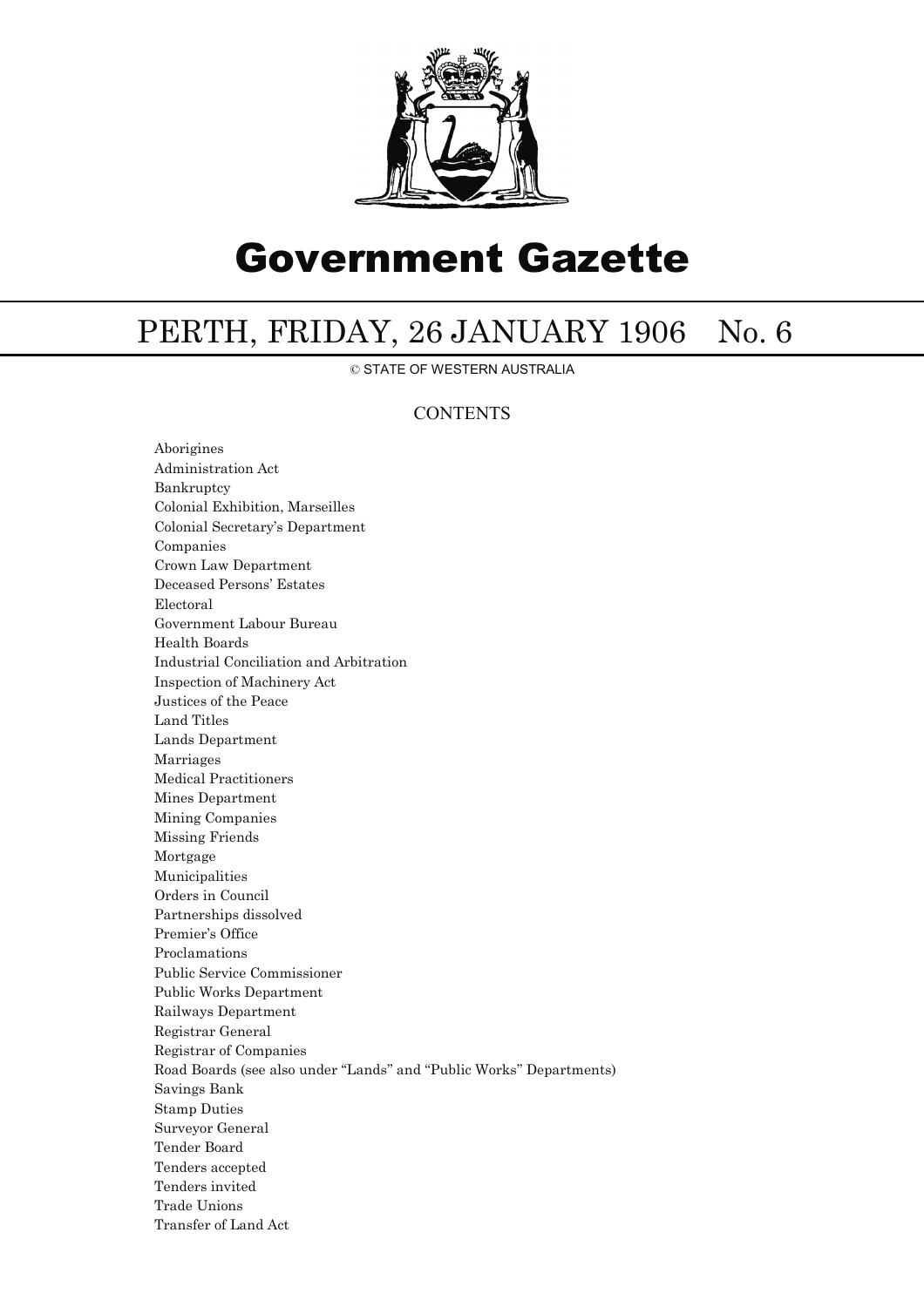

# Government Gazette

## PERTH, FRIDAY, 26 JANUARY 1906 No. 6

© STATE OF WESTERN AUSTRALIA

### **CONTENTS**

Aborigines Administration Act Bankruptcy Colonial Exhibition, Marseilles Colonial Secretary's Department Companies Crown Law Department Deceased Persons' Estates Electoral Government Labour Bureau Health Boards Industrial Conciliation and Arbitration Inspection of Machinery Act Justices of the Peace Land Titles Lands Department Marriages Medical Practitioners Mines Department Mining Companies Missing Friends Mortgage Municipalities Orders in Council Partnerships dissolved Premier's Office Proclamations Public Service Commissioner Public Works Department Railways Department Registrar General Registrar of Companies Road Boards (see also under ''Lands'' and ''Public Works'' Departments) Savings Bank Stamp Duties Surveyor General Tender Board Tenders accepted Tenders invited Trade Unions Transfer of Land Act